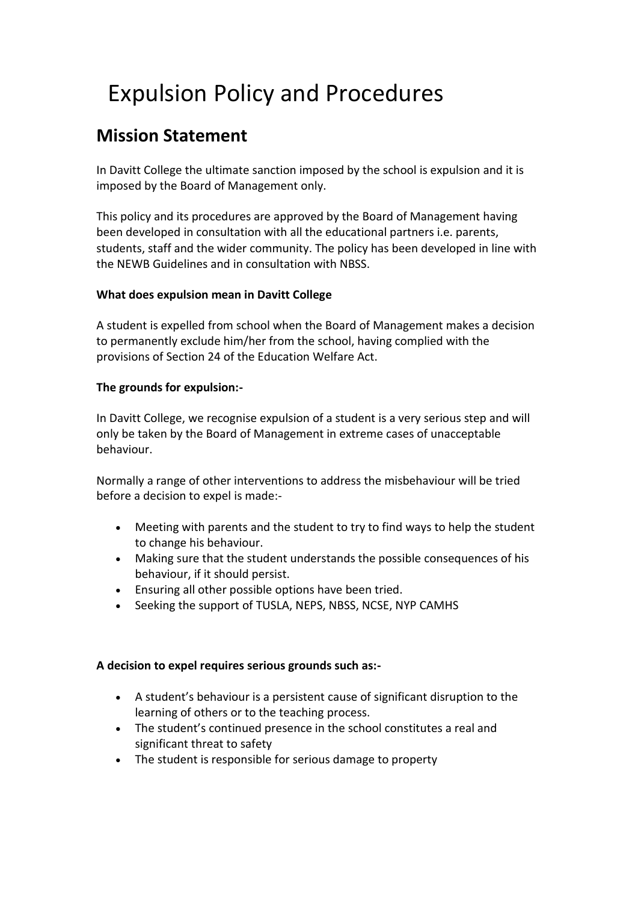# Expulsion Policy and Procedures

# **Mission Statement**

In Davitt College the ultimate sanction imposed by the school is expulsion and it is imposed by the Board of Management only.

This policy and its procedures are approved by the Board of Management having been developed in consultation with all the educational partners i.e. parents, students, staff and the wider community. The policy has been developed in line with the NEWB Guidelines and in consultation with NBSS.

## **What does expulsion mean in Davitt College**

A student is expelled from school when the Board of Management makes a decision to permanently exclude him/her from the school, having complied with the provisions of Section 24 of the Education Welfare Act.

### **The grounds for expulsion:-**

In Davitt College, we recognise expulsion of a student is a very serious step and will only be taken by the Board of Management in extreme cases of unacceptable behaviour.

Normally a range of other interventions to address the misbehaviour will be tried before a decision to expel is made:-

- Meeting with parents and the student to try to find ways to help the student to change his behaviour.
- Making sure that the student understands the possible consequences of his behaviour, if it should persist.
- Ensuring all other possible options have been tried.
- Seeking the support of TUSLA, NEPS, NBSS, NCSE, NYP CAMHS

### **A decision to expel requires serious grounds such as:-**

- A student's behaviour is a persistent cause of significant disruption to the learning of others or to the teaching process.
- The student's continued presence in the school constitutes a real and significant threat to safety
- The student is responsible for serious damage to property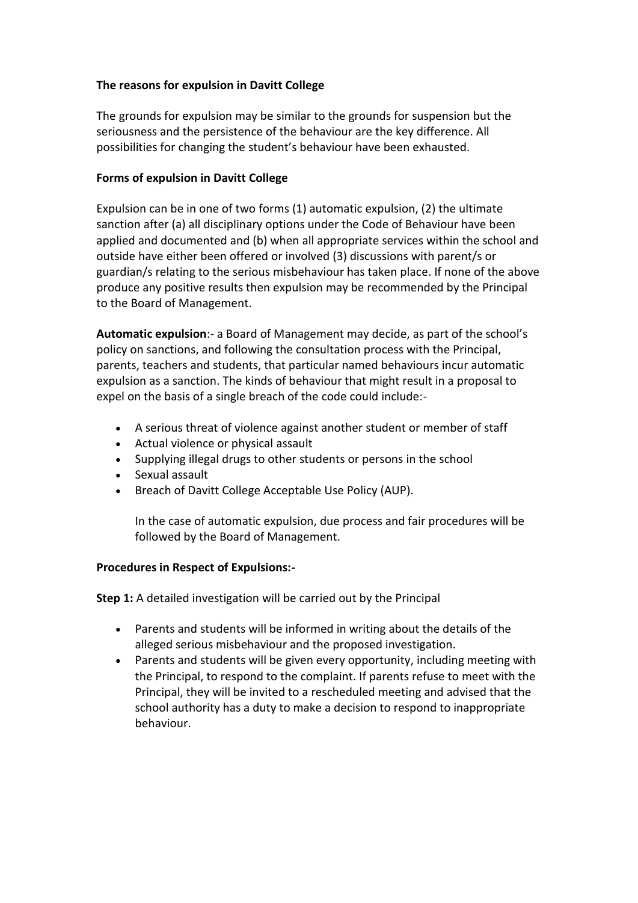### **The reasons for expulsion in Davitt College**

The grounds for expulsion may be similar to the grounds for suspension but the seriousness and the persistence of the behaviour are the key difference. All possibilities for changing the student's behaviour have been exhausted.

#### **Forms of expulsion in Davitt College**

Expulsion can be in one of two forms (1) automatic expulsion, (2) the ultimate sanction after (a) all disciplinary options under the Code of Behaviour have been applied and documented and (b) when all appropriate services within the school and outside have either been offered or involved (3) discussions with parent/s or guardian/s relating to the serious misbehaviour has taken place. If none of the above produce any positive results then expulsion may be recommended by the Principal to the Board of Management.

**Automatic expulsion**:- a Board of Management may decide, as part of the school's policy on sanctions, and following the consultation process with the Principal, parents, teachers and students, that particular named behaviours incur automatic expulsion as a sanction. The kinds of behaviour that might result in a proposal to expel on the basis of a single breach of the code could include:-

- A serious threat of violence against another student or member of staff
- Actual violence or physical assault
- Supplying illegal drugs to other students or persons in the school
- Sexual assault
- Breach of Davitt College Acceptable Use Policy (AUP).

In the case of automatic expulsion, due process and fair procedures will be followed by the Board of Management.

#### **Procedures in Respect of Expulsions:-**

**Step 1:** A detailed investigation will be carried out by the Principal

- Parents and students will be informed in writing about the details of the alleged serious misbehaviour and the proposed investigation.
- Parents and students will be given every opportunity, including meeting with the Principal, to respond to the complaint. If parents refuse to meet with the Principal, they will be invited to a rescheduled meeting and advised that the school authority has a duty to make a decision to respond to inappropriate behaviour.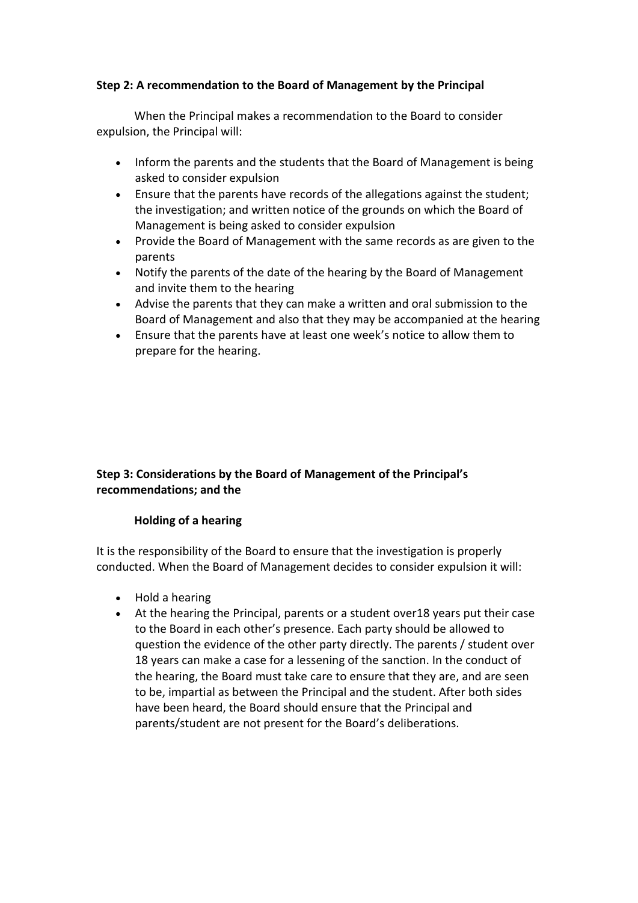#### **Step 2: A recommendation to the Board of Management by the Principal**

When the Principal makes a recommendation to the Board to consider expulsion, the Principal will:

- Inform the parents and the students that the Board of Management is being asked to consider expulsion
- Ensure that the parents have records of the allegations against the student; the investigation; and written notice of the grounds on which the Board of Management is being asked to consider expulsion
- Provide the Board of Management with the same records as are given to the parents
- Notify the parents of the date of the hearing by the Board of Management and invite them to the hearing
- Advise the parents that they can make a written and oral submission to the Board of Management and also that they may be accompanied at the hearing
- Ensure that the parents have at least one week's notice to allow them to prepare for the hearing.

### **Step 3: Considerations by the Board of Management of the Principal's recommendations; and the**

### **Holding of a hearing**

It is the responsibility of the Board to ensure that the investigation is properly conducted. When the Board of Management decides to consider expulsion it will:

- Hold a hearing
- At the hearing the Principal, parents or a student over18 years put their case to the Board in each other's presence. Each party should be allowed to question the evidence of the other party directly. The parents / student over 18 years can make a case for a lessening of the sanction. In the conduct of the hearing, the Board must take care to ensure that they are, and are seen to be, impartial as between the Principal and the student. After both sides have been heard, the Board should ensure that the Principal and parents/student are not present for the Board's deliberations.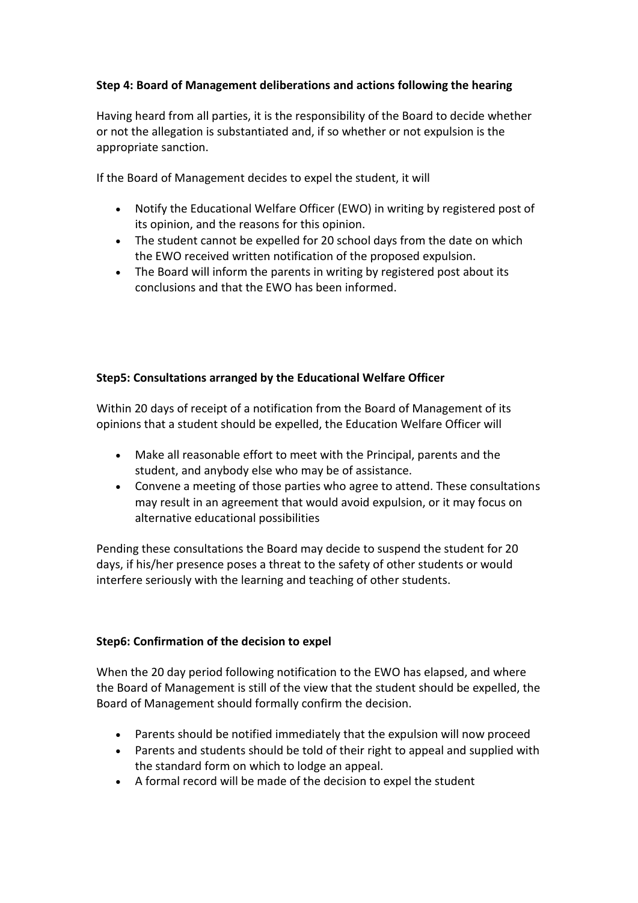### **Step 4: Board of Management deliberations and actions following the hearing**

Having heard from all parties, it is the responsibility of the Board to decide whether or not the allegation is substantiated and, if so whether or not expulsion is the appropriate sanction.

If the Board of Management decides to expel the student, it will

- Notify the Educational Welfare Officer (EWO) in writing by registered post of its opinion, and the reasons for this opinion.
- The student cannot be expelled for 20 school days from the date on which the EWO received written notification of the proposed expulsion.
- The Board will inform the parents in writing by registered post about its conclusions and that the EWO has been informed.

### **Step5: Consultations arranged by the Educational Welfare Officer**

Within 20 days of receipt of a notification from the Board of Management of its opinions that a student should be expelled, the Education Welfare Officer will

- Make all reasonable effort to meet with the Principal, parents and the student, and anybody else who may be of assistance.
- Convene a meeting of those parties who agree to attend. These consultations may result in an agreement that would avoid expulsion, or it may focus on alternative educational possibilities

Pending these consultations the Board may decide to suspend the student for 20 days, if his/her presence poses a threat to the safety of other students or would interfere seriously with the learning and teaching of other students.

### **Step6: Confirmation of the decision to expel**

When the 20 day period following notification to the EWO has elapsed, and where the Board of Management is still of the view that the student should be expelled, the Board of Management should formally confirm the decision.

- Parents should be notified immediately that the expulsion will now proceed
- Parents and students should be told of their right to appeal and supplied with the standard form on which to lodge an appeal.
- A formal record will be made of the decision to expel the student